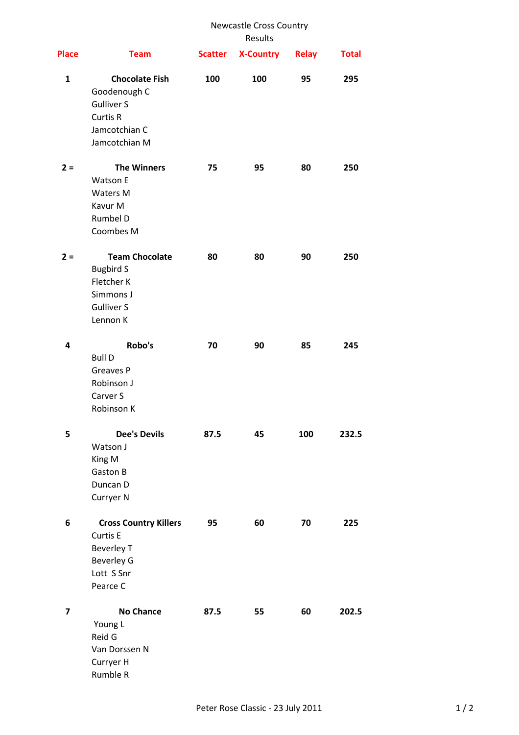| <b>Place</b> |                                                                                                              | <b>Newcastle Cross Country</b><br>Results |                  |              |              |
|--------------|--------------------------------------------------------------------------------------------------------------|-------------------------------------------|------------------|--------------|--------------|
|              | <b>Team</b>                                                                                                  | <b>Scatter</b>                            | <b>X-Country</b> | <b>Relay</b> | <b>Total</b> |
| $\mathbf{1}$ | <b>Chocolate Fish</b><br>Goodenough C<br><b>Gulliver S</b><br>Curtis R<br>Jamcotchian C<br>Jamcotchian M     | 100                                       | 100              | 95           | 295          |
| $2 =$        | <b>The Winners</b><br>Watson E<br>Waters M<br>Kavur M<br>Rumbel D<br>Coombes M                               | 75                                        | 95               | 80           | 250          |
| $2 =$        | <b>Team Chocolate</b><br><b>Bugbird S</b><br>Fletcher K<br>Simmons J<br><b>Gulliver S</b><br>Lennon K        | 80                                        | 80               | 90           | 250          |
| 4            | Robo's<br><b>Bull D</b><br>Greaves P<br>Robinson J<br>Carver S<br>Robinson K                                 | 70                                        | 90               | 85           | 245          |
| 5            | <b>Dee's Devils</b><br>Watson J<br>King M<br>Gaston B<br>Duncan D<br>Curryer N                               | 87.5                                      | 45               | 100          | 232.5        |
| 6            | <b>Cross Country Killers</b><br>Curtis E<br><b>Beverley T</b><br><b>Beverley G</b><br>Lott S Snr<br>Pearce C | 95                                        | 60               | 70           | 225          |
| 7            | <b>No Chance</b><br>Young L<br>Reid G<br>Van Dorssen N<br>Curryer H<br>Rumble R                              | 87.5                                      | 55               | 60           | 202.5        |